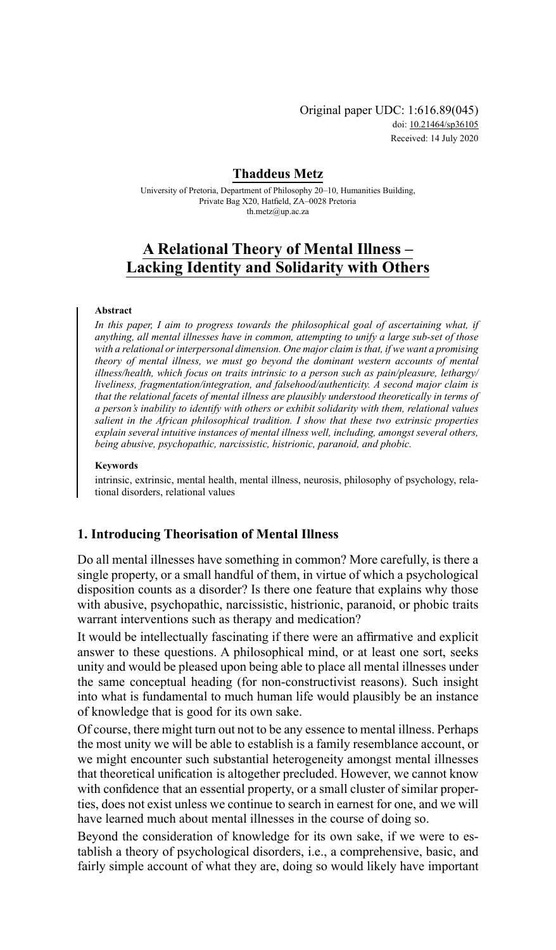Original paper UDC: 1:616.89(045) doi: [10.21464/sp36105](https://doi.org/10.21464/sp36105) Received: 14 July 2020

## **Thaddeus Metz**

University of Pretoria, Department of Philosophy 20–10, Humanities Building, Private Bag X20, Hatfield, ZA–0028 Pretoria [th.metz@up.ac.za](mailto:th.metz@up.ac.za)

# **A Relational Theory of Mental Illness – Lacking Identity and Solidarity with Others**

### **Abstract**

*In this paper, I aim to progress towards the philosophical goal of ascertaining what, if anything, all mental illnesses have in common, attempting to unify a large sub-set of those with a relational or interpersonal dimension. One major claim is that, if we want a promising theory of mental illness, we must go beyond the dominant western accounts of mental illness/health, which focus on traits intrinsic to a person such as pain/pleasure, lethargy/ liveliness, fragmentation/integration, and falsehood/authenticity. A second major claim is that the relational facets of mental illness are plausibly understood theoretically in terms of a person's inability to identify with others or exhibit solidarity with them, relational values salient in the African philosophical tradition. I show that these two extrinsic properties explain several intuitive instances of mental illness well, including, amongst several others, being abusive, psychopathic, narcissistic, histrionic, paranoid, and phobic.*

#### **Keywords**

intrinsic, extrinsic, mental health, mental illness, neurosis, philosophy of psychology, relational disorders, relational values

### **1. Introducing Theorisation of Mental Illness**

Do all mental illnesses have something in common? More carefully, is there a single property, or a small handful of them, in virtue of which a psychological disposition counts as a disorder? Is there one feature that explains why those with abusive, psychopathic, narcissistic, histrionic, paranoid, or phobic traits warrant interventions such as therapy and medication?

It would be intellectually fascinating if there were an affirmative and explicit answer to these questions. A philosophical mind, or at least one sort, seeks unity and would be pleased upon being able to place all mental illnesses under the same conceptual heading (for non-constructivist reasons). Such insight into what is fundamental to much human life would plausibly be an instance of knowledge that is good for its own sake.

Of course, there might turn out not to be any essence to mental illness. Perhaps the most unity we will be able to establish is a family resemblance account, or we might encounter such substantial heterogeneity amongst mental illnesses that theoretical unification is altogether precluded. However, we cannot know with confidence that an essential property, or a small cluster of similar properties, does not exist unless we continue to search in earnest for one, and we will have learned much about mental illnesses in the course of doing so.

Beyond the consideration of knowledge for its own sake, if we were to establish a theory of psychological disorders, i.e., a comprehensive, basic, and fairly simple account of what they are, doing so would likely have important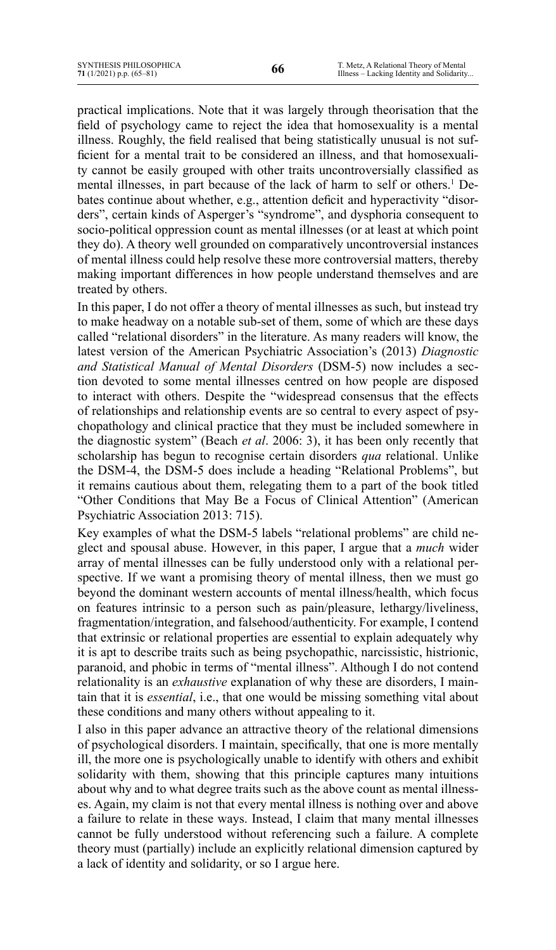practical implications. Note that it was largely through theorisation that the field of psychology came to reject the idea that homosexuality is a mental illness. Roughly, the field realised that being statistically unusual is not sufficient for a mental trait to be considered an illness, and that homosexuality cannot be easily grouped with other traits uncontroversially classified as mental illnesses, in part because of the lack of harm to self or others.<sup>1</sup> Debates continue about whether, e.g., attention deficit and hyperactivity "disorders", certain kinds of Asperger's "syndrome", and dysphoria consequent to socio-political oppression count as mental illnesses (or at least at which point they do). A theory well grounded on comparatively uncontroversial instances of mental illness could help resolve these more controversial matters, thereby making important differences in how people understand themselves and are treated by others.

In this paper, I do not offer a theory of mental illnesses as such, but instead try to make headway on a notable sub-set of them, some of which are these days called "relational disorders" in the literature. As many readers will know, the latest version of the American Psychiatric Association's (2013) *Diagnostic and Statistical Manual of Mental Disorders* (DSM-5) now includes a section devoted to some mental illnesses centred on how people are disposed to interact with others. Despite the "widespread consensus that the effects of relationships and relationship events are so central to every aspect of psychopathology and clinical practice that they must be included somewhere in the diagnostic system" (Beach *et al*. 2006: 3), it has been only recently that scholarship has begun to recognise certain disorders *qua* relational. Unlike the DSM-4, the DSM-5 does include a heading "Relational Problems", but it remains cautious about them, relegating them to a part of the book titled "Other Conditions that May Be a Focus of Clinical Attention" (American Psychiatric Association 2013: 715).

Key examples of what the DSM-5 labels "relational problems" are child neglect and spousal abuse. However, in this paper, I argue that a *much* wider array of mental illnesses can be fully understood only with a relational perspective. If we want a promising theory of mental illness, then we must go beyond the dominant western accounts of mental illness/health, which focus on features intrinsic to a person such as pain/pleasure, lethargy/liveliness, fragmentation/integration, and falsehood/authenticity. For example, I contend that extrinsic or relational properties are essential to explain adequately why it is apt to describe traits such as being psychopathic, narcissistic, histrionic, paranoid, and phobic in terms of "mental illness". Although I do not contend relationality is an *exhaustive* explanation of why these are disorders, I maintain that it is *essential*, i.e., that one would be missing something vital about these conditions and many others without appealing to it.

I also in this paper advance an attractive theory of the relational dimensions of psychological disorders. I maintain, specifically, that one is more mentally ill, the more one is psychologically unable to identify with others and exhibit solidarity with them, showing that this principle captures many intuitions about why and to what degree traits such as the above count as mental illnesses. Again, my claim is not that every mental illness is nothing over and above a failure to relate in these ways. Instead, I claim that many mental illnesses cannot be fully understood without referencing such a failure. A complete theory must (partially) include an explicitly relational dimension captured by a lack of identity and solidarity, or so I argue here.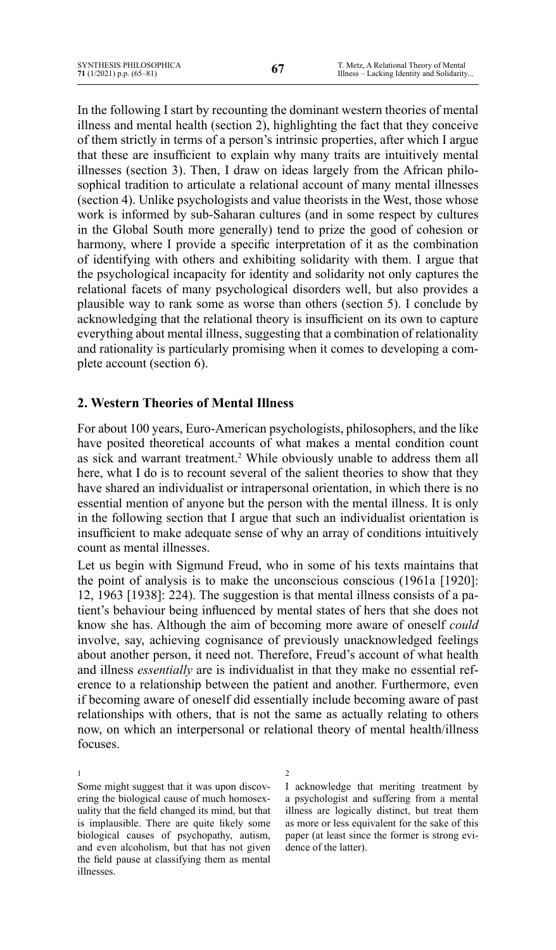In the following I start by recounting the dominant western theories of mental illness and mental health (section 2), highlighting the fact that they conceive of them strictly in terms of a person's intrinsic properties, after which I argue that these are insufficient to explain why many traits are intuitively mental illnesses (section 3). Then, I draw on ideas largely from the African philosophical tradition to articulate a relational account of many mental illnesses (section 4). Unlike psychologists and value theorists in the West, those whose work is informed by sub-Saharan cultures (and in some respect by cultures in the Global South more generally) tend to prize the good of cohesion or harmony, where I provide a specific interpretation of it as the combination of identifying with others and exhibiting solidarity with them. I argue that the psychological incapacity for identity and solidarity not only captures the relational facets of many psychological disorders well, but also provides a plausible way to rank some as worse than others (section 5). I conclude by acknowledging that the relational theory is insufficient on its own to capture everything about mental illness, suggesting that a combination of relationality and rationality is particularly promising when it comes to developing a complete account (section 6).

## **2. Western Theories of Mental Illness**

For about 100 years, Euro-American psychologists, philosophers, and the like have posited theoretical accounts of what makes a mental condition count as sick and warrant treatment.<sup>2</sup> While obviously unable to address them all here, what I do is to recount several of the salient theories to show that they have shared an individualist or intrapersonal orientation, in which there is no essential mention of anyone but the person with the mental illness. It is only in the following section that I argue that such an individualist orientation is insufficient to make adequate sense of why an array of conditions intuitively count as mental illnesses.

Let us begin with Sigmund Freud, who in some of his texts maintains that the point of analysis is to make the unconscious conscious (1961a [1920]: 12, 1963 [1938]: 224). The suggestion is that mental illness consists of a patient's behaviour being influenced by mental states of hers that she does not know she has. Although the aim of becoming more aware of oneself *could* involve, say, achieving cognisance of previously unacknowledged feelings about another person, it need not. Therefore, Freud's account of what health and illness *essentially* are is individualist in that they make no essential reference to a relationship between the patient and another. Furthermore, even if becoming aware of oneself did essentially include becoming aware of past relationships with others, that is not the same as actually relating to others now, on which an interpersonal or relational theory of mental health/illness focuses.

1 Some might suggest that it was upon discovering the biological cause of much homosexuality that the field changed its mind, but that is implausible. There are quite likely some biological causes of psychopathy, autism, and even alcoholism, but that has not given the field pause at classifying them as mental illnesses.

2 I acknowledge that meriting treatment by a psychologist and suffering from a mental illness are logically distinct, but treat them as more or less equivalent for the sake of this paper (at least since the former is strong evidence of the latter).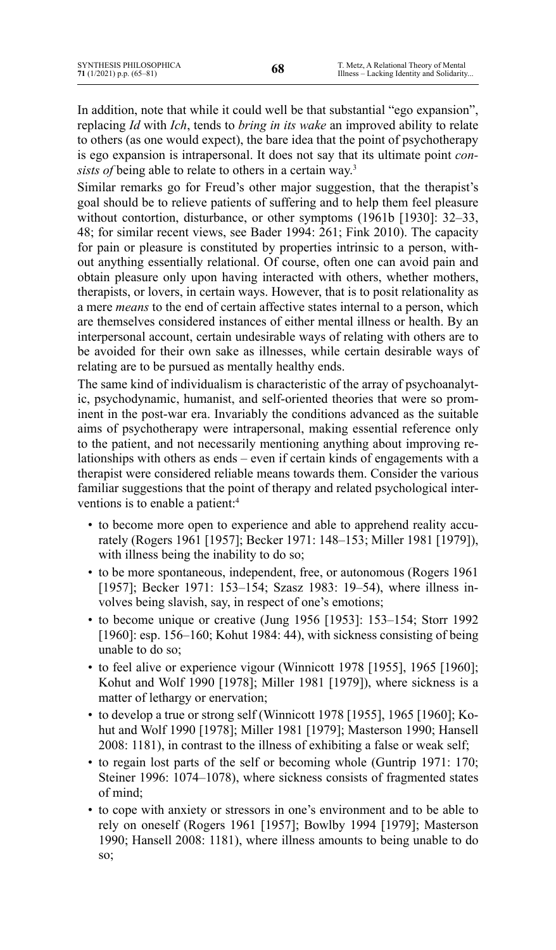In addition, note that while it could well be that substantial "ego expansion", replacing *Id* with *Ich*, tends to *bring in its wake* an improved ability to relate to others (as one would expect), the bare idea that the point of psychotherapy is ego expansion is intrapersonal. It does not say that its ultimate point *consists of* being able to relate to others in a certain way.<sup>3</sup>

Similar remarks go for Freud's other major suggestion, that the therapist's goal should be to relieve patients of suffering and to help them feel pleasure without contortion, disturbance, or other symptoms (1961b [1930]: 32–33, 48; for similar recent views, see Bader 1994: 261; Fink 2010). The capacity for pain or pleasure is constituted by properties intrinsic to a person, without anything essentially relational. Of course, often one can avoid pain and obtain pleasure only upon having interacted with others, whether mothers, therapists, or lovers, in certain ways. However, that is to posit relationality as a mere *means* to the end of certain affective states internal to a person, which are themselves considered instances of either mental illness or health. By an interpersonal account, certain undesirable ways of relating with others are to be avoided for their own sake as illnesses, while certain desirable ways of relating are to be pursued as mentally healthy ends.

The same kind of individualism is characteristic of the array of psychoanalytic, psychodynamic, humanist, and self-oriented theories that were so prominent in the post-war era. Invariably the conditions advanced as the suitable aims of psychotherapy were intrapersonal, making essential reference only to the patient, and not necessarily mentioning anything about improving relationships with others as ends – even if certain kinds of engagements with a therapist were considered reliable means towards them. Consider the various familiar suggestions that the point of therapy and related psychological interventions is to enable a patient:<sup>4</sup>

- to become more open to experience and able to apprehend reality accurately (Rogers 1961 [1957]; Becker 1971: 148–153; Miller 1981 [1979]), with illness being the inability to do so;
- to be more spontaneous, independent, free, or autonomous (Rogers 1961 [1957]; Becker 1971: 153-154; Szasz 1983: 19-54), where illness involves being slavish, say, in respect of one's emotions;
- to become unique or creative (Jung 1956 [1953]: 153–154; Storr 1992 [1960]: esp. 156–160; Kohut 1984: 44), with sickness consisting of being unable to do so;
- to feel alive or experience vigour (Winnicott 1978 [1955], 1965 [1960]; Kohut and Wolf 1990 [1978]; Miller 1981 [1979]), where sickness is a matter of lethargy or enervation;
- to develop a true or strong self (Winnicott 1978 [1955], 1965 [1960]; Kohut and Wolf 1990 [1978]; Miller 1981 [1979]; Masterson 1990; Hansell 2008: 1181), in contrast to the illness of exhibiting a false or weak self;
- to regain lost parts of the self or becoming whole (Guntrip 1971: 170; Steiner 1996: 1074–1078), where sickness consists of fragmented states of mind;
- to cope with anxiety or stressors in one's environment and to be able to rely on oneself (Rogers 1961 [1957]; Bowlby 1994 [1979]; Masterson 1990; Hansell 2008: 1181), where illness amounts to being unable to do so;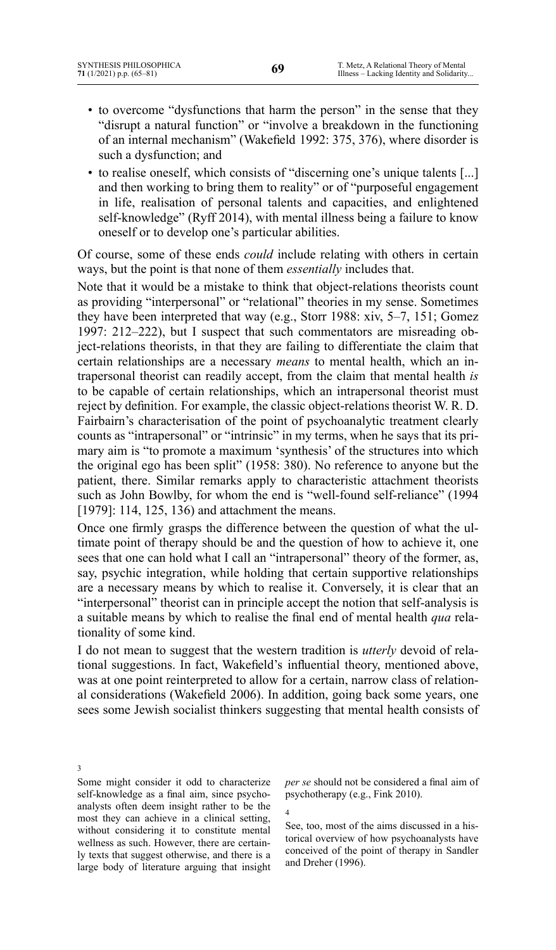- to overcome "dysfunctions that harm the person" in the sense that they "disrupt a natural function" or "involve a breakdown in the functioning of an internal mechanism" (Wakefield 1992: 375, 376), where disorder is such a dysfunction; and
- to realise oneself, which consists of "discerning one's unique talents [...] and then working to bring them to reality" or of "purposeful engagement in life, realisation of personal talents and capacities, and enlightened self-knowledge" (Ryff 2014), with mental illness being a failure to know oneself or to develop one's particular abilities.

Of course, some of these ends *could* include relating with others in certain ways, but the point is that none of them *essentially* includes that.

Note that it would be a mistake to think that object-relations theorists count as providing "interpersonal" or "relational" theories in my sense. Sometimes they have been interpreted that way (e.g., Storr 1988: xiv, 5–7, 151; Gomez 1997: 212–222), but I suspect that such commentators are misreading object-relations theorists, in that they are failing to differentiate the claim that certain relationships are a necessary *means* to mental health, which an intrapersonal theorist can readily accept, from the claim that mental health *is*  to be capable of certain relationships, which an intrapersonal theorist must reject by definition. For example, the classic object-relations theorist W. R. D. Fairbairn's characterisation of the point of psychoanalytic treatment clearly counts as "intrapersonal" or "intrinsic" in my terms, when he says that its primary aim is "to promote a maximum 'synthesis' of the structures into which the original ego has been split" (1958: 380). No reference to anyone but the patient, there. Similar remarks apply to characteristic attachment theorists such as John Bowlby, for whom the end is "well-found self-reliance" (1994) [1979]: 114, 125, 136) and attachment the means.

Once one firmly grasps the difference between the question of what the ultimate point of therapy should be and the question of how to achieve it, one sees that one can hold what I call an "intrapersonal" theory of the former, as, say, psychic integration, while holding that certain supportive relationships are a necessary means by which to realise it. Conversely, it is clear that an "interpersonal" theorist can in principle accept the notion that self-analysis is a suitable means by which to realise the final end of mental health *qua* relationality of some kind.

I do not mean to suggest that the western tradition is *utterly* devoid of relational suggestions. In fact, Wakefield's influential theory, mentioned above, was at one point reinterpreted to allow for a certain, narrow class of relational considerations (Wakefield 2006). In addition, going back some years, one sees some Jewish socialist thinkers suggesting that mental health consists of

3 Some might consider it odd to characterize self-knowledge as a final aim, since psychoanalysts often deem insight rather to be the most they can achieve in a clinical setting, without considering it to constitute mental wellness as such. However, there are certainly texts that suggest otherwise, and there is a large body of literature arguing that insight

*per se* should not be considered a final aim of psychotherapy (e.g., Fink 2010).

4

See, too, most of the aims discussed in a historical overview of how psychoanalysts have conceived of the point of therapy in Sandler and Dreher (1996).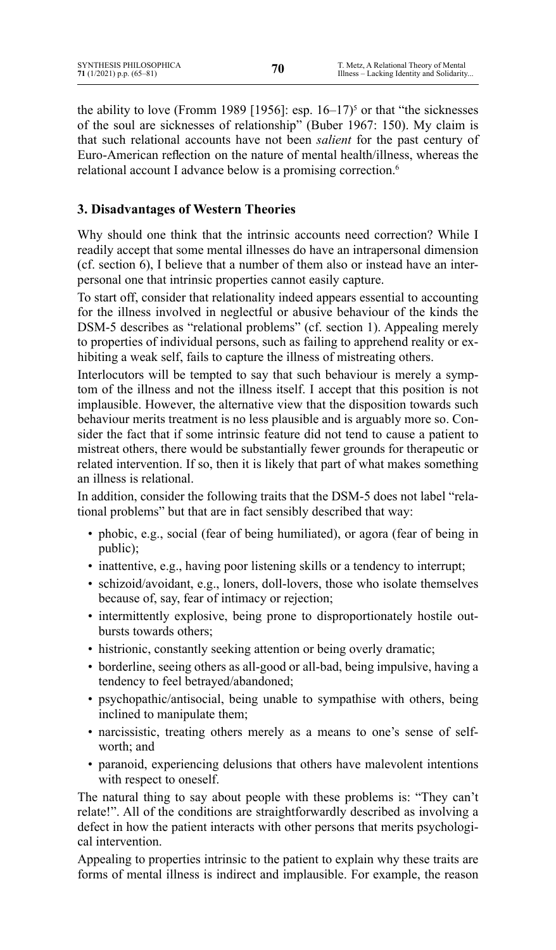the ability to love (Fromm 1989 [1956]: esp.  $16-17$ <sup>5</sup> or that "the sicknesses" of the soul are sicknesses of relationship" (Buber 1967: 150). My claim is that such relational accounts have not been *salient* for the past century of Euro-American reflection on the nature of mental health/illness, whereas the relational account I advance below is a promising correction.<sup>6</sup>

# **3. Disadvantages of Western Theories**

Why should one think that the intrinsic accounts need correction? While I readily accept that some mental illnesses do have an intrapersonal dimension (cf. section 6), I believe that a number of them also or instead have an interpersonal one that intrinsic properties cannot easily capture.

To start off, consider that relationality indeed appears essential to accounting for the illness involved in neglectful or abusive behaviour of the kinds the DSM-5 describes as "relational problems" (cf. section 1). Appealing merely to properties of individual persons, such as failing to apprehend reality or exhibiting a weak self, fails to capture the illness of mistreating others.

Interlocutors will be tempted to say that such behaviour is merely a symptom of the illness and not the illness itself. I accept that this position is not implausible. However, the alternative view that the disposition towards such behaviour merits treatment is no less plausible and is arguably more so. Consider the fact that if some intrinsic feature did not tend to cause a patient to mistreat others, there would be substantially fewer grounds for therapeutic or related intervention. If so, then it is likely that part of what makes something an illness is relational.

In addition, consider the following traits that the DSM-5 does not label "relational problems" but that are in fact sensibly described that way:

- phobic, e.g., social (fear of being humiliated), or agora (fear of being in public);
- inattentive, e.g., having poor listening skills or a tendency to interrupt;
- schizoid/avoidant, e.g., loners, doll-lovers, those who isolate themselves because of, say, fear of intimacy or rejection;
- intermittently explosive, being prone to disproportionately hostile outbursts towards others;
- histrionic, constantly seeking attention or being overly dramatic;
- borderline, seeing others as all-good or all-bad, being impulsive, having a tendency to feel betrayed/abandoned;
- psychopathic/antisocial, being unable to sympathise with others, being inclined to manipulate them;
- narcissistic, treating others merely as a means to one's sense of selfworth; and
- paranoid, experiencing delusions that others have malevolent intentions with respect to oneself.

The natural thing to say about people with these problems is: "They can't relate!". All of the conditions are straightforwardly described as involving a defect in how the patient interacts with other persons that merits psychological intervention.

Appealing to properties intrinsic to the patient to explain why these traits are forms of mental illness is indirect and implausible. For example, the reason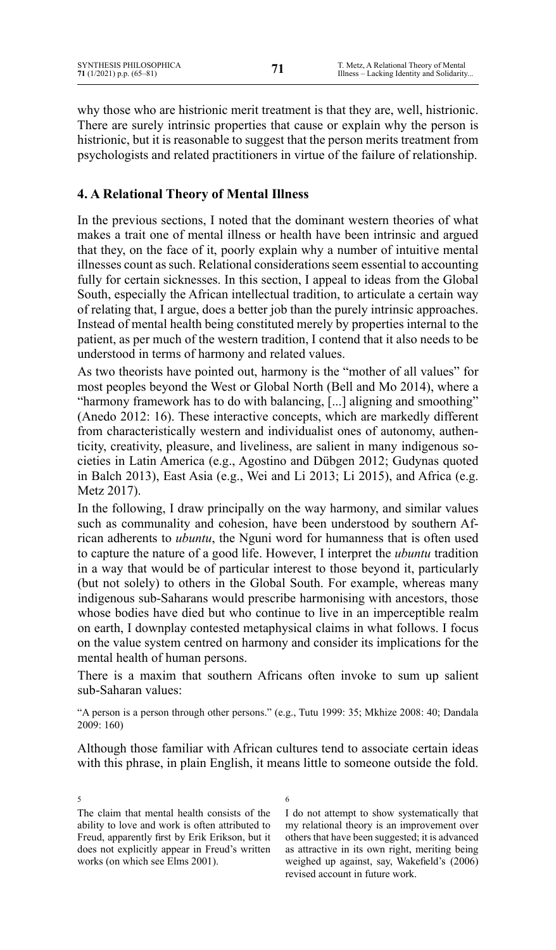T. Metz, A Relational Theory of Mental Illness – Lacking Identity and Solidarity...

why those who are histrionic merit treatment is that they are, well, histrionic. There are surely intrinsic properties that cause or explain why the person is histrionic, but it is reasonable to suggest that the person merits treatment from psychologists and related practitioners in virtue of the failure of relationship.

# **4. A Relational Theory of Mental Illness**

In the previous sections, I noted that the dominant western theories of what makes a trait one of mental illness or health have been intrinsic and argued that they, on the face of it, poorly explain why a number of intuitive mental illnesses count as such. Relational considerations seem essential to accounting fully for certain sicknesses. In this section, I appeal to ideas from the Global South, especially the African intellectual tradition, to articulate a certain way of relating that, I argue, does a better job than the purely intrinsic approaches. Instead of mental health being constituted merely by properties internal to the patient, as per much of the western tradition, I contend that it also needs to be understood in terms of harmony and related values.

As two theorists have pointed out, harmony is the "mother of all values" for most peoples beyond the West or Global North (Bell and Mo 2014), where a "harmony framework has to do with balancing, [...] aligning and smoothing" (Anedo 2012: 16). These interactive concepts, which are markedly different from characteristically western and individualist ones of autonomy, authenticity, creativity, pleasure, and liveliness, are salient in many indigenous societies in Latin America (e.g., Agostino and Dübgen 2012; Gudynas quoted in Balch 2013), East Asia (e.g., Wei and Li 2013; Li 2015), and Africa (e.g. Metz 2017).

In the following, I draw principally on the way harmony, and similar values such as communality and cohesion, have been understood by southern African adherents to *ubuntu*, the Nguni word for humanness that is often used to capture the nature of a good life. However, I interpret the *ubuntu* tradition in a way that would be of particular interest to those beyond it, particularly (but not solely) to others in the Global South. For example, whereas many indigenous sub-Saharans would prescribe harmonising with ancestors, those whose bodies have died but who continue to live in an imperceptible realm on earth, I downplay contested metaphysical claims in what follows. I focus on the value system centred on harmony and consider its implications for the mental health of human persons.

There is a maxim that southern Africans often invoke to sum up salient sub-Saharan values:

"A person is a person through other persons." (e.g., Tutu 1999: 35; Mkhize 2008: 40; Dandala 2009: 160)

Although those familiar with African cultures tend to associate certain ideas with this phrase, in plain English, it means little to someone outside the fold.

5 The claim that mental health consists of the ability to love and work is often attributed to Freud, apparently first by Erik Erikson, but it does not explicitly appear in Freud's written works (on which see Elms 2001).

6 

I do not attempt to show systematically that my relational theory is an improvement over others that have been suggested; it is advanced as attractive in its own right, meriting being weighed up against, say, Wakefield's (2006) revised account in future work.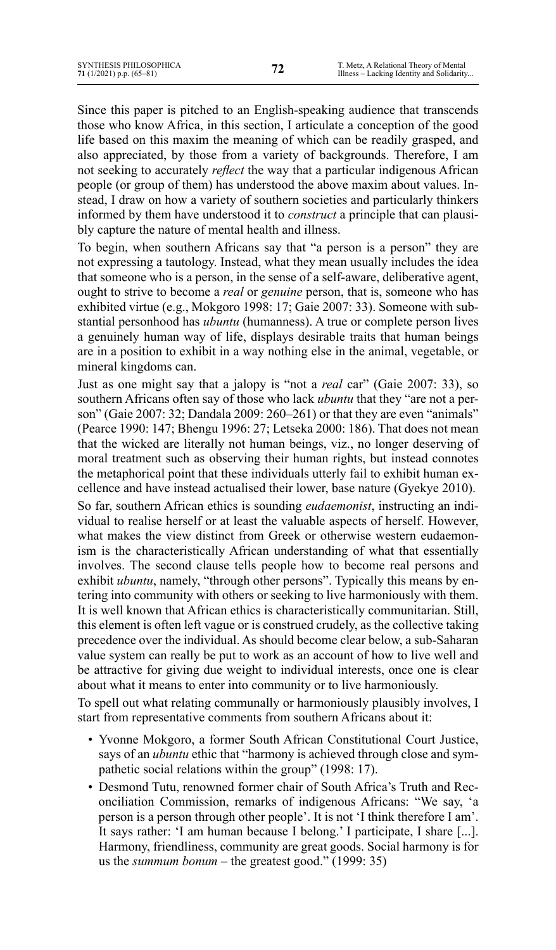Since this paper is pitched to an English-speaking audience that transcends those who know Africa, in this section, I articulate a conception of the good life based on this maxim the meaning of which can be readily grasped, and also appreciated, by those from a variety of backgrounds. Therefore, I am not seeking to accurately *reflect* the way that a particular indigenous African people (or group of them) has understood the above maxim about values. Instead, I draw on how a variety of southern societies and particularly thinkers informed by them have understood it to *construct* a principle that can plausibly capture the nature of mental health and illness.

To begin, when southern Africans say that "a person is a person" they are not expressing a tautology. Instead, what they mean usually includes the idea that someone who is a person, in the sense of a self-aware, deliberative agent, ought to strive to become a *real* or *genuine* person, that is, someone who has exhibited virtue (e.g., Mokgoro 1998: 17; Gaie 2007: 33). Someone with substantial personhood has *ubuntu* (humanness). A true or complete person lives a genuinely human way of life, displays desirable traits that human beings are in a position to exhibit in a way nothing else in the animal, vegetable, or mineral kingdoms can.

Just as one might say that a jalopy is "not a *real* car" (Gaie 2007: 33), so southern Africans often say of those who lack *ubuntu* that they "are not a person" (Gaie 2007: 32; Dandala 2009: 260–261) or that they are even "animals" (Pearce 1990: 147; Bhengu 1996: 27; Letseka 2000: 186). That does not mean that the wicked are literally not human beings, viz., no longer deserving of moral treatment such as observing their human rights, but instead connotes the metaphorical point that these individuals utterly fail to exhibit human excellence and have instead actualised their lower, base nature (Gyekye 2010).

So far, southern African ethics is sounding *eudaemonist*, instructing an individual to realise herself or at least the valuable aspects of herself. However, what makes the view distinct from Greek or otherwise western eudaemonism is the characteristically African understanding of what that essentially involves. The second clause tells people how to become real persons and exhibit *ubuntu*, namely, "through other persons". Typically this means by entering into community with others or seeking to live harmoniously with them. It is well known that African ethics is characteristically communitarian. Still, this element is often left vague or is construed crudely, as the collective taking precedence over the individual. As should become clear below, a sub-Saharan value system can really be put to work as an account of how to live well and be attractive for giving due weight to individual interests, once one is clear about what it means to enter into community or to live harmoniously.

To spell out what relating communally or harmoniously plausibly involves, I start from representative comments from southern Africans about it:

- Yvonne Mokgoro, a former South African Constitutional Court Justice, says of an *ubuntu* ethic that "harmony is achieved through close and sympathetic social relations within the group" (1998: 17).
- Desmond Tutu, renowned former chair of South Africa's Truth and Reconciliation Commission, remarks of indigenous Africans: "We say, 'a person is a person through other people'. It is not 'I think therefore I am'. It says rather: 'I am human because I belong.' I participate, I share [...]. Harmony, friendliness, community are great goods. Social harmony is for us the *summum bonum* – the greatest good." (1999: 35)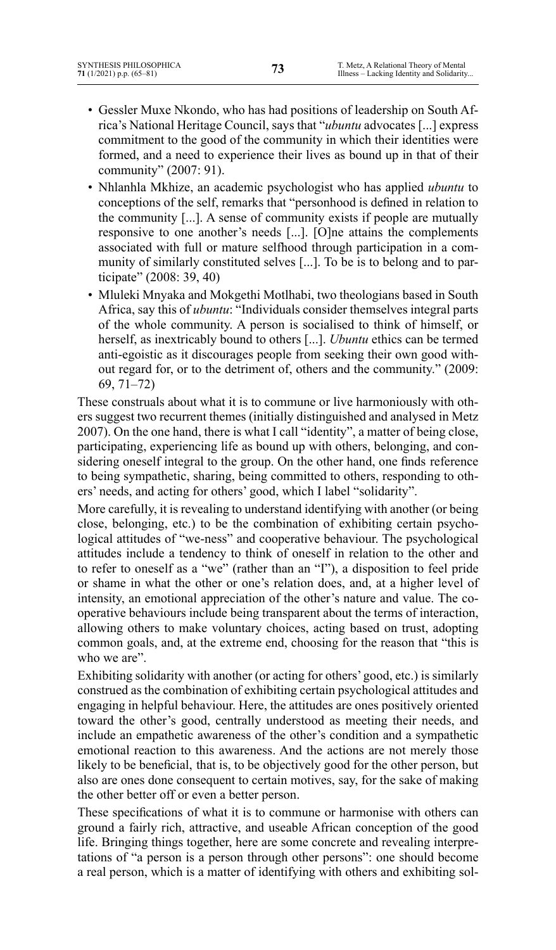- Gessler Muxe Nkondo, who has had positions of leadership on South Africa's National Heritage Council, says that "*ubuntu* advocates [...] express commitment to the good of the community in which their identities were formed, and a need to experience their lives as bound up in that of their community" (2007: 91).
- Nhlanhla Mkhize, an academic psychologist who has applied *ubuntu* to conceptions of the self, remarks that "personhood is defined in relation to the community [...]. A sense of community exists if people are mutually responsive to one another's needs [...]. [O]ne attains the complements associated with full or mature selfhood through participation in a community of similarly constituted selves [...]. To be is to belong and to participate" (2008: 39, 40)
- Mluleki Mnyaka and Mokgethi Motlhabi, two theologians based in South Africa, say this of *ubuntu*: "Individuals consider themselves integral parts of the whole community. A person is socialised to think of himself, or herself, as inextricably bound to others [...]. *Ubuntu* ethics can be termed anti-egoistic as it discourages people from seeking their own good without regard for, or to the detriment of, others and the community." (2009: 69, 71–72)

These construals about what it is to commune or live harmoniously with others suggest two recurrent themes (initially distinguished and analysed in Metz 2007). On the one hand, there is what I call "identity", a matter of being close, participating, experiencing life as bound up with others, belonging, and considering oneself integral to the group. On the other hand, one finds reference to being sympathetic, sharing, being committed to others, responding to others' needs, and acting for others' good, which I label "solidarity".

More carefully, it is revealing to understand identifying with another (or being close, belonging, etc.) to be the combination of exhibiting certain psychological attitudes of "we-ness" and cooperative behaviour. The psychological attitudes include a tendency to think of oneself in relation to the other and to refer to oneself as a "we" (rather than an "I"), a disposition to feel pride or shame in what the other or one's relation does, and, at a higher level of intensity, an emotional appreciation of the other's nature and value. The cooperative behaviours include being transparent about the terms of interaction, allowing others to make voluntary choices, acting based on trust, adopting common goals, and, at the extreme end, choosing for the reason that "this is who we are".

Exhibiting solidarity with another (or acting for others' good, etc.) is similarly construed as the combination of exhibiting certain psychological attitudes and engaging in helpful behaviour. Here, the attitudes are ones positively oriented toward the other's good, centrally understood as meeting their needs, and include an empathetic awareness of the other's condition and a sympathetic emotional reaction to this awareness. And the actions are not merely those likely to be beneficial, that is, to be objectively good for the other person, but also are ones done consequent to certain motives, say, for the sake of making the other better off or even a better person.

These specifications of what it is to commune or harmonise with others can ground a fairly rich, attractive, and useable African conception of the good life. Bringing things together, here are some concrete and revealing interpretations of "a person is a person through other persons": one should become a real person, which is a matter of identifying with others and exhibiting sol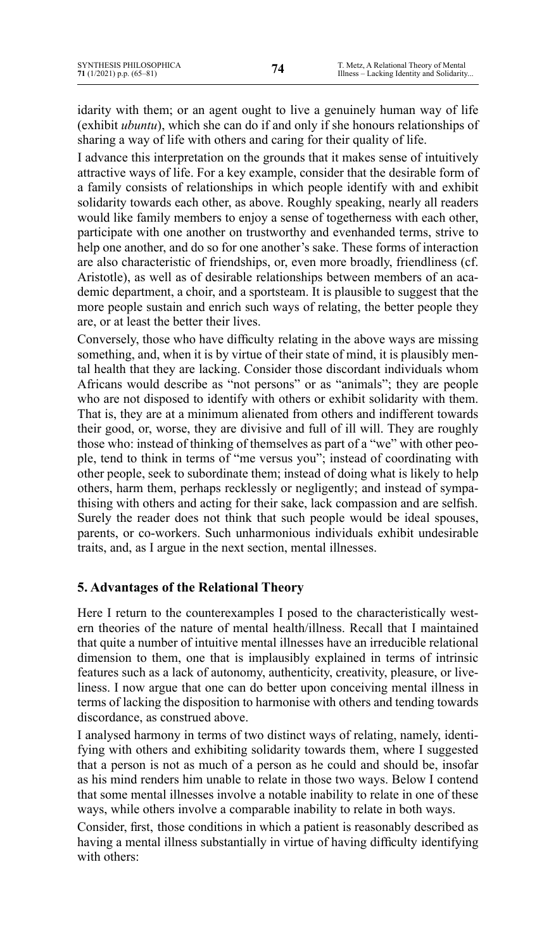idarity with them; or an agent ought to live a genuinely human way of life (exhibit *ubuntu*), which she can do if and only if she honours relationships of sharing a way of life with others and caring for their quality of life.

I advance this interpretation on the grounds that it makes sense of intuitively attractive ways of life. For a key example, consider that the desirable form of a family consists of relationships in which people identify with and exhibit solidarity towards each other, as above. Roughly speaking, nearly all readers would like family members to enjoy a sense of togetherness with each other, participate with one another on trustworthy and evenhanded terms, strive to help one another, and do so for one another's sake. These forms of interaction are also characteristic of friendships, or, even more broadly, friendliness (cf. Aristotle), as well as of desirable relationships between members of an academic department, a choir, and a sportsteam. It is plausible to suggest that the more people sustain and enrich such ways of relating, the better people they are, or at least the better their lives.

Conversely, those who have difficulty relating in the above ways are missing something, and, when it is by virtue of their state of mind, it is plausibly mental health that they are lacking. Consider those discordant individuals whom Africans would describe as "not persons" or as "animals"; they are people who are not disposed to identify with others or exhibit solidarity with them. That is, they are at a minimum alienated from others and indifferent towards their good, or, worse, they are divisive and full of ill will. They are roughly those who: instead of thinking of themselves as part of a "we" with other people, tend to think in terms of "me versus you"; instead of coordinating with other people, seek to subordinate them; instead of doing what is likely to help others, harm them, perhaps recklessly or negligently; and instead of sympathising with others and acting for their sake, lack compassion and are selfish. Surely the reader does not think that such people would be ideal spouses, parents, or co-workers. Such unharmonious individuals exhibit undesirable traits, and, as I argue in the next section, mental illnesses.

# **5. Advantages of the Relational Theory**

Here I return to the counterexamples I posed to the characteristically western theories of the nature of mental health/illness. Recall that I maintained that quite a number of intuitive mental illnesses have an irreducible relational dimension to them, one that is implausibly explained in terms of intrinsic features such as a lack of autonomy, authenticity, creativity, pleasure, or liveliness. I now argue that one can do better upon conceiving mental illness in terms of lacking the disposition to harmonise with others and tending towards discordance, as construed above.

I analysed harmony in terms of two distinct ways of relating, namely, identifying with others and exhibiting solidarity towards them, where I suggested that a person is not as much of a person as he could and should be, insofar as his mind renders him unable to relate in those two ways. Below I contend that some mental illnesses involve a notable inability to relate in one of these ways, while others involve a comparable inability to relate in both ways.

Consider, first, those conditions in which a patient is reasonably described as having a mental illness substantially in virtue of having difficulty identifying with others: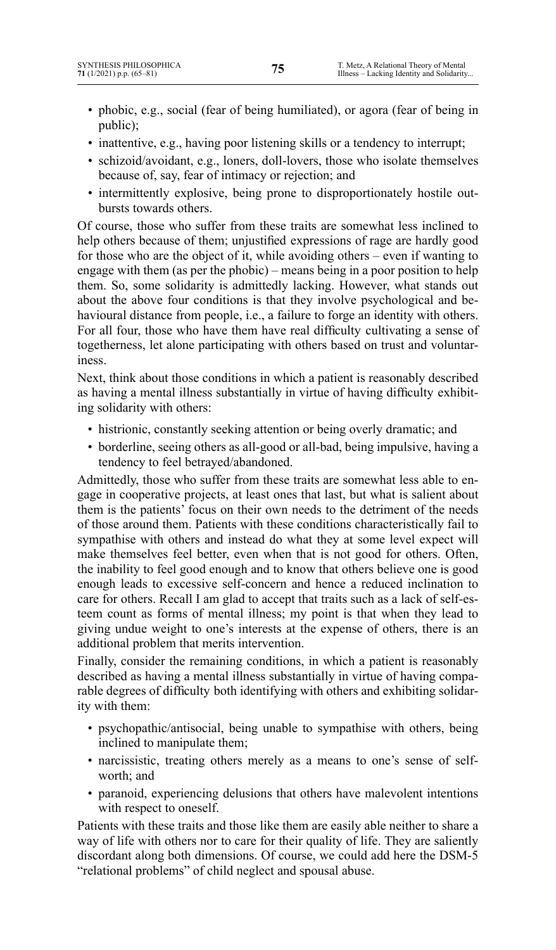- phobic, e.g., social (fear of being humiliated), or agora (fear of being in public);
- inattentive, e.g., having poor listening skills or a tendency to interrupt;
- schizoid/avoidant, e.g., loners, doll-lovers, those who isolate themselves because of, say, fear of intimacy or rejection; and
- intermittently explosive, being prone to disproportionately hostile outbursts towards others.

Of course, those who suffer from these traits are somewhat less inclined to help others because of them; unjustified expressions of rage are hardly good for those who are the object of it, while avoiding others – even if wanting to engage with them (as per the phobic) – means being in a poor position to help them. So, some solidarity is admittedly lacking. However, what stands out about the above four conditions is that they involve psychological and behavioural distance from people, i.e., a failure to forge an identity with others. For all four, those who have them have real difficulty cultivating a sense of togetherness, let alone participating with others based on trust and voluntariness.

Next, think about those conditions in which a patient is reasonably described as having a mental illness substantially in virtue of having difficulty exhibiting solidarity with others:

- histrionic, constantly seeking attention or being overly dramatic; and
- borderline, seeing others as all-good or all-bad, being impulsive, having a tendency to feel betrayed/abandoned.

Admittedly, those who suffer from these traits are somewhat less able to engage in cooperative projects, at least ones that last, but what is salient about them is the patients' focus on their own needs to the detriment of the needs of those around them. Patients with these conditions characteristically fail to sympathise with others and instead do what they at some level expect will make themselves feel better, even when that is not good for others. Often, the inability to feel good enough and to know that others believe one is good enough leads to excessive self-concern and hence a reduced inclination to care for others. Recall I am glad to accept that traits such as a lack of self-esteem count as forms of mental illness; my point is that when they lead to giving undue weight to one's interests at the expense of others, there is an additional problem that merits intervention.

Finally, consider the remaining conditions, in which a patient is reasonably described as having a mental illness substantially in virtue of having comparable degrees of difficulty both identifying with others and exhibiting solidarity with them:

- psychopathic/antisocial, being unable to sympathise with others, being inclined to manipulate them;
- narcissistic, treating others merely as a means to one's sense of selfworth; and
- paranoid, experiencing delusions that others have malevolent intentions with respect to oneself.

Patients with these traits and those like them are easily able neither to share a way of life with others nor to care for their quality of life. They are saliently discordant along both dimensions. Of course, we could add here the DSM-5 "relational problems" of child neglect and spousal abuse.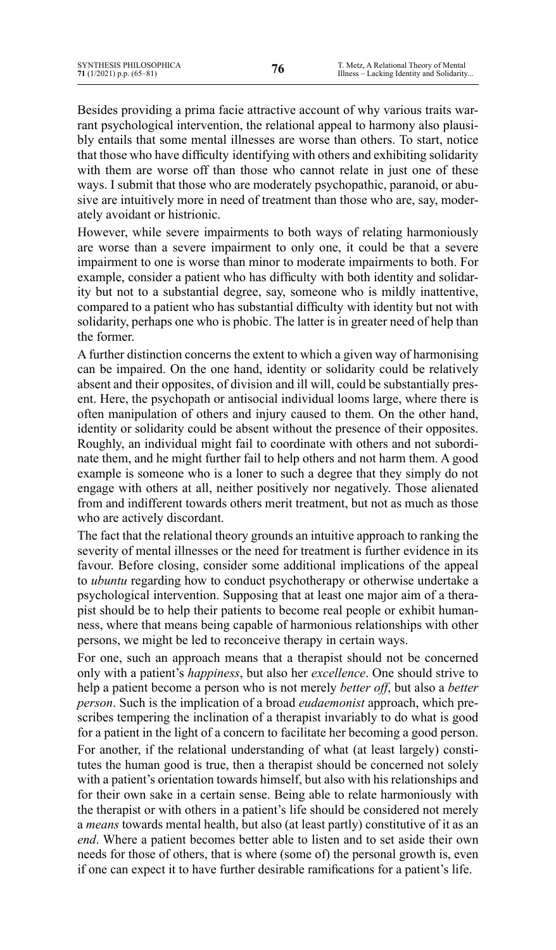Besides providing a prima facie attractive account of why various traits warrant psychological intervention, the relational appeal to harmony also plausibly entails that some mental illnesses are worse than others. To start, notice that those who have difficulty identifying with others and exhibiting solidarity with them are worse off than those who cannot relate in just one of these ways. I submit that those who are moderately psychopathic, paranoid, or abusive are intuitively more in need of treatment than those who are, say, moderately avoidant or histrionic.

However, while severe impairments to both ways of relating harmoniously are worse than a severe impairment to only one, it could be that a severe impairment to one is worse than minor to moderate impairments to both. For example, consider a patient who has difficulty with both identity and solidarity but not to a substantial degree, say, someone who is mildly inattentive, compared to a patient who has substantial difficulty with identity but not with solidarity, perhaps one who is phobic. The latter is in greater need of help than the former.

A further distinction concerns the extent to which a given way of harmonising can be impaired. On the one hand, identity or solidarity could be relatively absent and their opposites, of division and ill will, could be substantially present. Here, the psychopath or antisocial individual looms large, where there is often manipulation of others and injury caused to them. On the other hand, identity or solidarity could be absent without the presence of their opposites. Roughly, an individual might fail to coordinate with others and not subordinate them, and he might further fail to help others and not harm them. A good example is someone who is a loner to such a degree that they simply do not engage with others at all, neither positively nor negatively. Those alienated from and indifferent towards others merit treatment, but not as much as those who are actively discordant.

The fact that the relational theory grounds an intuitive approach to ranking the severity of mental illnesses or the need for treatment is further evidence in its favour. Before closing, consider some additional implications of the appeal to *ubuntu* regarding how to conduct psychotherapy or otherwise undertake a psychological intervention. Supposing that at least one major aim of a therapist should be to help their patients to become real people or exhibit humanness, where that means being capable of harmonious relationships with other persons, we might be led to reconceive therapy in certain ways.

For one, such an approach means that a therapist should not be concerned only with a patient's *happiness*, but also her *excellence*. One should strive to help a patient become a person who is not merely *better off*, but also a *better person*. Such is the implication of a broad *eudaemonist* approach, which prescribes tempering the inclination of a therapist invariably to do what is good for a patient in the light of a concern to facilitate her becoming a good person. For another, if the relational understanding of what (at least largely) constitutes the human good is true, then a therapist should be concerned not solely with a patient's orientation towards himself, but also with his relationships and for their own sake in a certain sense. Being able to relate harmoniously with the therapist or with others in a patient's life should be considered not merely a *means* towards mental health, but also (at least partly) constitutive of it as an *end*. Where a patient becomes better able to listen and to set aside their own needs for those of others, that is where (some of) the personal growth is, even if one can expect it to have further desirable ramifications for a patient's life.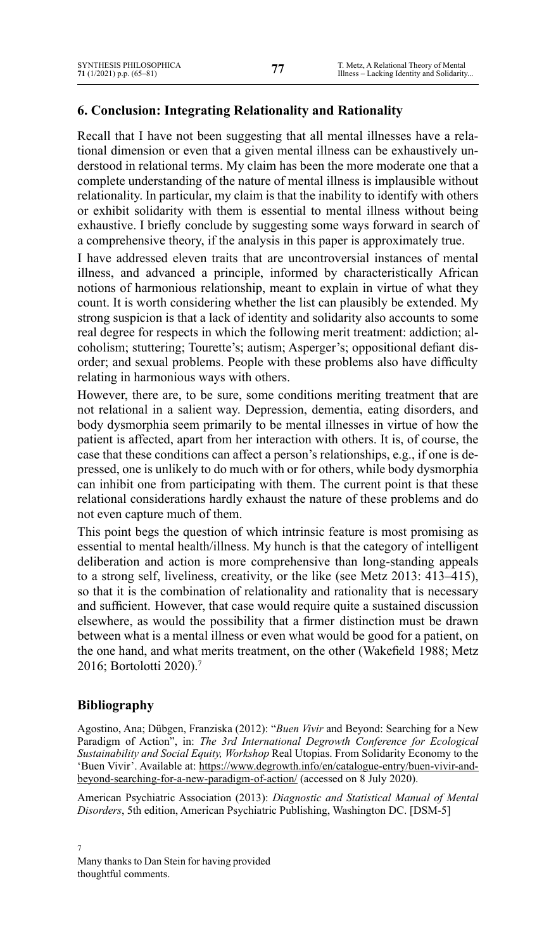# **6. Conclusion: Integrating Relationality and Rationality**

Recall that I have not been suggesting that all mental illnesses have a relational dimension or even that a given mental illness can be exhaustively understood in relational terms. My claim has been the more moderate one that a complete understanding of the nature of mental illness is implausible without relationality. In particular, my claim is that the inability to identify with others or exhibit solidarity with them is essential to mental illness without being exhaustive. I briefly conclude by suggesting some ways forward in search of a comprehensive theory, if the analysis in this paper is approximately true.

I have addressed eleven traits that are uncontroversial instances of mental illness, and advanced a principle, informed by characteristically African notions of harmonious relationship, meant to explain in virtue of what they count. It is worth considering whether the list can plausibly be extended. My strong suspicion is that a lack of identity and solidarity also accounts to some real degree for respects in which the following merit treatment: addiction; alcoholism; stuttering; Tourette's; autism; Asperger's; oppositional defiant disorder; and sexual problems. People with these problems also have difficulty relating in harmonious ways with others.

However, there are, to be sure, some conditions meriting treatment that are not relational in a salient way. Depression, dementia, eating disorders, and body dysmorphia seem primarily to be mental illnesses in virtue of how the patient is affected, apart from her interaction with others. It is, of course, the case that these conditions can affect a person's relationships, e.g., if one is depressed, one is unlikely to do much with or for others, while body dysmorphia can inhibit one from participating with them. The current point is that these relational considerations hardly exhaust the nature of these problems and do not even capture much of them.

This point begs the question of which intrinsic feature is most promising as essential to mental health/illness. My hunch is that the category of intelligent deliberation and action is more comprehensive than long-standing appeals to a strong self, liveliness, creativity, or the like (see Metz 2013: 413–415), so that it is the combination of relationality and rationality that is necessary and sufficient. However, that case would require quite a sustained discussion elsewhere, as would the possibility that a firmer distinction must be drawn between what is a mental illness or even what would be good for a patient, on the one hand, and what merits treatment, on the other (Wakefield 1988; Metz 2016; Bortolotti 2020).<sup>7</sup>

## **Bibliography**

Agostino, Ana; Dübgen, Franziska (2012): "*Buen Vivir* and Beyond: Searching for a New Paradigm of Action", in: *The 3rd International Degrowth Conference for Ecological Sustainability and Social Equity, Workshop* Real Utopias. From Solidarity Economy to the 'Buen Vivir'. Available at: [https://www.degrowth.info/en/catalogue-entry/buen-vivir-and](https://www.degrowth.info/en/catalogue-entry/buen-vivir-and-beyond-searching-for-a-new-paradigm-of-action/)[beyond-searching-for-a-new-paradigm-of-action/](https://www.degrowth.info/en/catalogue-entry/buen-vivir-and-beyond-searching-for-a-new-paradigm-of-action/) (accessed on 8 July 2020).

American Psychiatric Association (2013): *Diagnostic and Statistical Manual of Mental Disorders*, 5th edition, American Psychiatric Publishing, Washington DC. [DSM-5]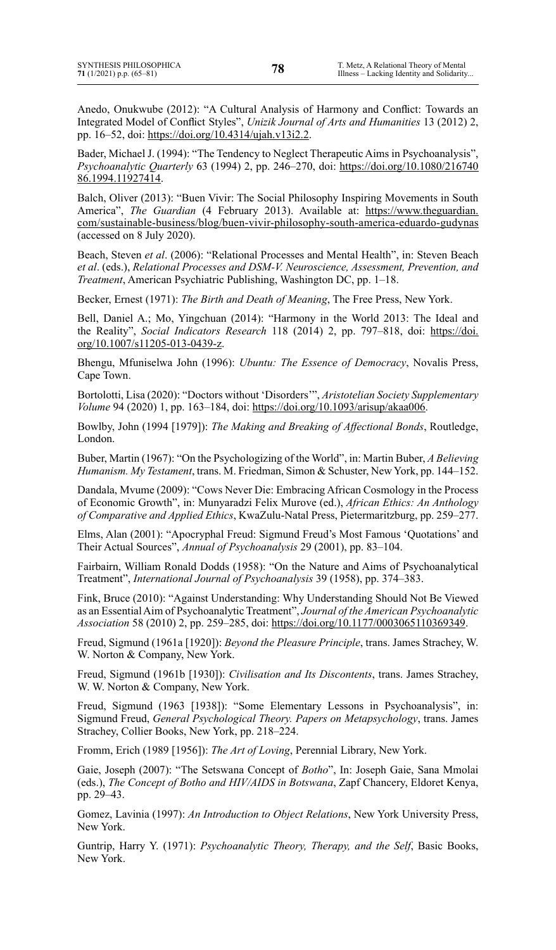Anedo, Onukwube (2012): "A Cultural Analysis of Harmony and Conflict: Towards an Integrated Model of Conflict Styles", *Unizik Journal of Arts and Humanities* 13 (2012) 2, pp. 16–52, doi: <https://doi.org/10.4314/ujah.v13i2.2>.

Bader, Michael J. (1994): "The Tendency to Neglect Therapeutic Aims in Psychoanalysis", *Psychoanalytic Quarterly* 63 (1994) 2, pp. 246–270, doi: [https://doi.org/10.1080/216740](https://doi.org/10.1080/21674086.1994.11927414) [86.1994.11927414](https://doi.org/10.1080/21674086.1994.11927414).

Balch, Oliver (2013): "Buen Vivir: The Social Philosophy Inspiring Movements in South America", *The Guardian* (4 February 2013). Available at: [https://www.theguardian.](https://www.theguardian.com/sustainable-business/blog/buen-vivir-philosophy-south-america-eduardo-gudynas) [com/sustainable-business/blog/buen-vivir-philosophy-south-america-eduardo-gudynas](https://www.theguardian.com/sustainable-business/blog/buen-vivir-philosophy-south-america-eduardo-gudynas) (accessed on 8 July 2020).

Beach, Steven *et al*. (2006): "Relational Processes and Mental Health", in: Steven Beach *et al*. (eds.), *Relational Processes and DSM-V. Neuroscience, Assessment, Prevention, and Treatment*, American Psychiatric Publishing, Washington DC, pp. 1–18.

Becker, Ernest (1971): *The Birth and Death of Meaning*, The Free Press, New York.

Bell, Daniel A.; Mo, Yingchuan (2014): "Harmony in the World 2013: The Ideal and the Reality", *Social Indicators Research* 118 (2014) 2, pp. 797–818, doi: [https://doi.](https://doi.org/10.1007/s11205-013-0439-z) [org/10.1007/s11205-013-0439-z](https://doi.org/10.1007/s11205-013-0439-z).

Bhengu, Mfuniselwa John (1996): *Ubuntu: The Essence of Democracy*, Novalis Press, Cape Town.

Bortolotti, Lisa (2020): "Doctors without 'Disorders'", *Aristotelian Society Supplementary Volume* 94 (2020) 1, pp. 163–184, doi: <https://doi.org/10.1093/arisup/akaa006>.

Bowlby, John (1994 [1979]): *The Making and Breaking of Affectional Bonds*, Routledge, London.

Buber, Martin (1967): "On the Psychologizing of the World", in: Martin Buber, *A Believing Humanism. My Testament*, trans. M. Friedman, Simon & Schuster, New York, pp. 144–152.

Dandala, Mvume (2009): "Cows Never Die: Embracing African Cosmology in the Process of Economic Growth", in: Munyaradzi Felix Murove (ed.), *African Ethics: An Anthology of Comparative and Applied Ethics*, KwaZulu-Natal Press, Pietermaritzburg, pp. 259–277.

Elms, Alan (2001): "Apocryphal Freud: Sigmund Freud's Most Famous 'Quotations' and Their Actual Sources", *Annual of Psychoanalysis* 29 (2001), pp. 83–104.

Fairbairn, William Ronald Dodds (1958): "On the Nature and Aims of Psychoanalytical Treatment", *International Journal of Psychoanalysis* 39 (1958), pp. 374–383.

Fink, Bruce (2010): "Against Understanding: Why Understanding Should Not Be Viewed as an EssentialAim of Psychoanalytic Treatment", *Journal of the American Psychoanalytic Association* 58 (2010) 2, pp. 259–285, doi: <https://doi.org/10.1177/0003065110369349>.

Freud, Sigmund (1961a [1920]): *Beyond the Pleasure Principle*, trans. James Strachey, W. W. Norton & Company, New York.

Freud, Sigmund (1961b [1930]): *Civilisation and Its Discontents*, trans. James Strachey, W. W. Norton & Company, New York.

Freud, Sigmund (1963 [1938]): "Some Elementary Lessons in Psychoanalysis", in: Sigmund Freud, *General Psychological Theory. Papers on Metapsychology*, trans. James Strachey, Collier Books, New York, pp. 218–224.

Fromm, Erich (1989 [1956]): *The Art of Loving*, Perennial Library, New York.

Gaie, Joseph (2007): "The Setswana Concept of *Botho*", In: Joseph Gaie, Sana Mmolai (eds.), *The Concept of Botho and HIV/AIDS in Botswana*, Zapf Chancery, Eldoret Kenya, pp. 29–43.

Gomez, Lavinia (1997): *An Introduction to Object Relations*, New York University Press, New York.

Guntrip, Harry Y. (1971): *Psychoanalytic Theory, Therapy, and the Self*, Basic Books, New York.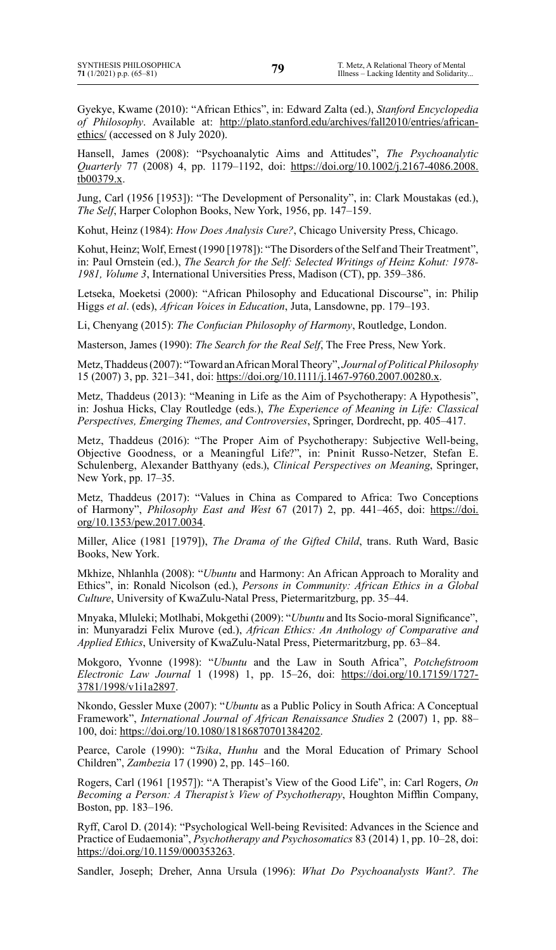Gyekye, Kwame (2010): "African Ethics", in: Edward Zalta (ed.), *Stanford Encyclopedia of Philosophy*. Available at: [http://plato.stanford.edu/archives/fall2010/entries/african](http://plato.stanford.edu/archives/fall2010/entries/african-ethics/)[ethics/](http://plato.stanford.edu/archives/fall2010/entries/african-ethics/) (accessed on 8 July 2020).

Hansell, James (2008): "Psychoanalytic Aims and Attitudes", *The Psychoanalytic Quarterly* 77 (2008) 4, pp. 1179–1192, doi: [https://doi.org/10.1002/j.2167-4086.2008.](https://doi.org/10.1002/j.2167-4086.2008.tb00379.x) [tb00379.x](https://doi.org/10.1002/j.2167-4086.2008.tb00379.x).

Jung, Carl (1956 [1953]): "The Development of Personality", in: Clark Moustakas (ed.), *The Self*, Harper Colophon Books, New York, 1956, pp. 147–159.

Kohut, Heinz (1984): *How Does Analysis Cure?*, Chicago University Press, Chicago.

Kohut, Heinz; Wolf, Ernest (1990 [1978]): "The Disorders of the Self and Their Treatment", in: Paul Ornstein (ed.), *The Search for the Self: Selected Writings of Heinz Kohut: 1978- 1981, Volume 3*, International Universities Press, Madison (CT), pp. 359–386.

Letseka, Moeketsi (2000): "African Philosophy and Educational Discourse", in: Philip Higgs *et al*. (eds), *African Voices in Education*, Juta, Lansdowne, pp. 179–193.

Li, Chenyang (2015): *The Confucian Philosophy of Harmony*, Routledge, London.

Masterson, James (1990): *The Search for the Real Self*, The Free Press, New York.

Metz,Thaddeus(2007): "Toward anAfricanMoralTheory", *Journal of Political Philosophy* 15 (2007) 3, pp. 321–341, doi: <https://doi.org/10.1111/j.1467-9760.2007.00280.x>.

Metz, Thaddeus (2013): "Meaning in Life as the Aim of Psychotherapy: A Hypothesis", in: Joshua Hicks, Clay Routledge (eds.), *The Experience of Meaning in Life: Classical Perspectives, Emerging Themes, and Controversies*, Springer, Dordrecht, pp. 405–417.

Metz, Thaddeus (2016): "The Proper Aim of Psychotherapy: Subjective Well-being, Objective Goodness, or a Meaningful Life?", in: Pninit Russo-Netzer, Stefan E. Schulenberg, Alexander Batthyany (eds.), *Clinical Perspectives on Meaning*, Springer, New York, pp. 17–35.

Metz, Thaddeus (2017): "Values in China as Compared to Africa: Two Conceptions of Harmony", *Philosophy East and West* 67 (2017) 2, pp. 441–465, doi: [https://doi.](https://doi.org/10.1353/pew.2017.0034) [org/10.1353/pew.2017.0034](https://doi.org/10.1353/pew.2017.0034).

Miller, Alice (1981 [1979]), *The Drama of the Gifted Child*, trans. Ruth Ward, Basic Books, New York.

Mkhize, Nhlanhla (2008): "*Ubuntu* and Harmony: An African Approach to Morality and Ethics", in: Ronald Nicolson (ed.), *Persons in Community: African Ethics in a Global Culture*, University of KwaZulu-Natal Press, Pietermaritzburg, pp. 35–44.

Mnyaka, Mluleki; Motlhabi, Mokgethi (2009): "*Ubuntu* and Its Socio-moral Significance", in: Munyaradzi Felix Murove (ed.), *African Ethics: An Anthology of Comparative and Applied Ethics*, University of KwaZulu-Natal Press, Pietermaritzburg, pp. 63–84.

Mokgoro, Yvonne (1998): "*Ubuntu* and the Law in South Africa", *Potchefstroom Electronic Law Journal* 1 (1998) 1, pp. 15–26, doi: [https://doi.org/10.17159/1727-](https://doi.org/10.17159/1727-3781/1998/v1i1a2897) [3781/1998/v1i1a2897](https://doi.org/10.17159/1727-3781/1998/v1i1a2897).

Nkondo, Gessler Muxe (2007): "*Ubuntu* as a Public Policy in South Africa: A Conceptual Framework", *International Journal of African Renaissance Studies* 2 (2007) 1, pp. 88– 100, doi: <https://doi.org/10.1080/18186870701384202>.

Pearce, Carole (1990): "*Tsika*, *Hunhu* and the Moral Education of Primary School Children", *Zambezia* 17 (1990) 2, pp. 145–160.

Rogers, Carl (1961 [1957]): "A Therapist's View of the Good Life", in: Carl Rogers, *On Becoming a Person: A Therapist's View of Psychotherapy*, Houghton Mifflin Company, Boston, pp. 183–196.

Ryff, Carol D. (2014): "Psychological Well-being Revisited: Advances in the Science and Practice of Eudaemonia", *Psychotherapy and Psychosomatics* 83 (2014) 1, pp. 10–28, doi: <https://doi.org/10.1159/000353263>.

Sandler, Joseph; Dreher, Anna Ursula (1996): *What Do Psychoanalysts Want?. The*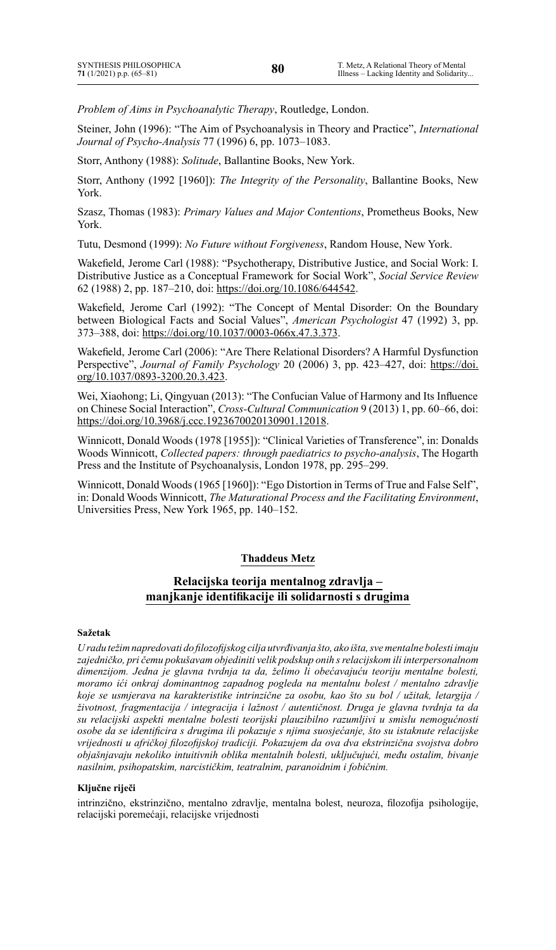*Problem of Aims in Psychoanalytic Therapy*, Routledge, London.

Steiner, John (1996): "The Aim of Psychoanalysis in Theory and Practice", *International Journal of Psycho-Analysis* 77 (1996) 6, pp. 1073–1083.

Storr, Anthony (1988): *Solitude*, Ballantine Books, New York.

Storr, Anthony (1992 [1960]): *The Integrity of the Personality*, Ballantine Books, New York.

Szasz, Thomas (1983): *Primary Values and Major Contentions*, Prometheus Books, New York.

Tutu, Desmond (1999): *No Future without Forgiveness*, Random House, New York.

Wakefield, Jerome Carl (1988): "Psychotherapy, Distributive Justice, and Social Work: I. Distributive Justice as a Conceptual Framework for Social Work", *Social Service Review*  62 (1988) 2, pp. 187–210, doi: <https://doi.org/10.1086/644542>.

Wakefield, Jerome Carl (1992): "The Concept of Mental Disorder: On the Boundary between Biological Facts and Social Values", *American Psychologist* 47 (1992) 3, pp. 373–388, doi: <https://doi.org/10.1037/0003-066x.47.3.373>.

Wakefield, Jerome Carl (2006): "Are There Relational Disorders? A Harmful Dysfunction Perspective", *Journal of Family Psychology* 20 (2006) 3, pp. 423–427, doi: [https://doi.](https://doi.org/10.1037/0893-3200.20.3.423) [org/10.1037/0893-3200.20.3.423](https://doi.org/10.1037/0893-3200.20.3.423).

Wei, Xiaohong; Li, Qingyuan (2013): "The Confucian Value of Harmony and Its Influence on Chinese Social Interaction", *Cross-Cultural Communication* 9 (2013) 1, pp. 60–66, doi: <https://doi.org/10.3968/j.ccc.1923670020130901.12018>.

Winnicott, Donald Woods (1978 [1955]): "Clinical Varieties of Transference", in: Donalds Woods Winnicott, *Collected papers: through paediatrics to psycho-analysis*, The Hogarth Press and the Institute of Psychoanalysis, London 1978, pp. 295–299.

Winnicott, Donald Woods(1965 [1960]): "Ego Distortion in Terms of True and False Self", in: Donald Woods Winnicott, *The Maturational Process and the Facilitating Environment*, Universities Press, New York 1965, pp. 140–152.

### **Thaddeus Metz**

## **Relacijska teorija mentalnog zdravlja – manjkanje identifikacije ili solidarnosti s drugima**

#### **Sažetak**

*U radu težim napredovati do filozofijskog cilja utvrđivanja što, ako išta, sve mentalne bolesti imaju zajedničko, pri čemu pokušavam objediniti velik podskup onih s relacijskom ili interpersonalnom dimenzijom. Jedna je glavna tvrdnja ta da, želimo li obećavajuću teoriju mentalne bolesti, moramo ići onkraj dominantnog zapadnog pogleda na mentalnu bolest / mentalno zdravlje koje se usmjerava na karakteristike intrinzične za osobu, kao što su bol / užitak, letargija / životnost, fragmentacija / integracija i lažnost / autentičnost. Druga je glavna tvrdnja ta da su relacijski aspekti mentalne bolesti teorijski plauzibilno razumljivi u smislu nemogućnosti osobe da se identificira s drugima ili pokazuje s njima suosjećanje, što su istaknute relacijske vrijednosti u afričkoj filozofijskoj tradiciji. Pokazujem da ova dva ekstrinzična svojstva dobro objašnjavaju nekoliko intuitivnih oblika mentalnih bolesti, uključujući, među ostalim, bivanje nasilnim, psihopatskim, narcističkim, teatralnim, paranoidnim i fobičnim.*

#### **Ključne riječi**

intrinzično, ekstrinzično, mentalno zdravlje, mentalna bolest, neuroza, filozofija psihologije, relacijski poremećaji, relacijske vrijednosti